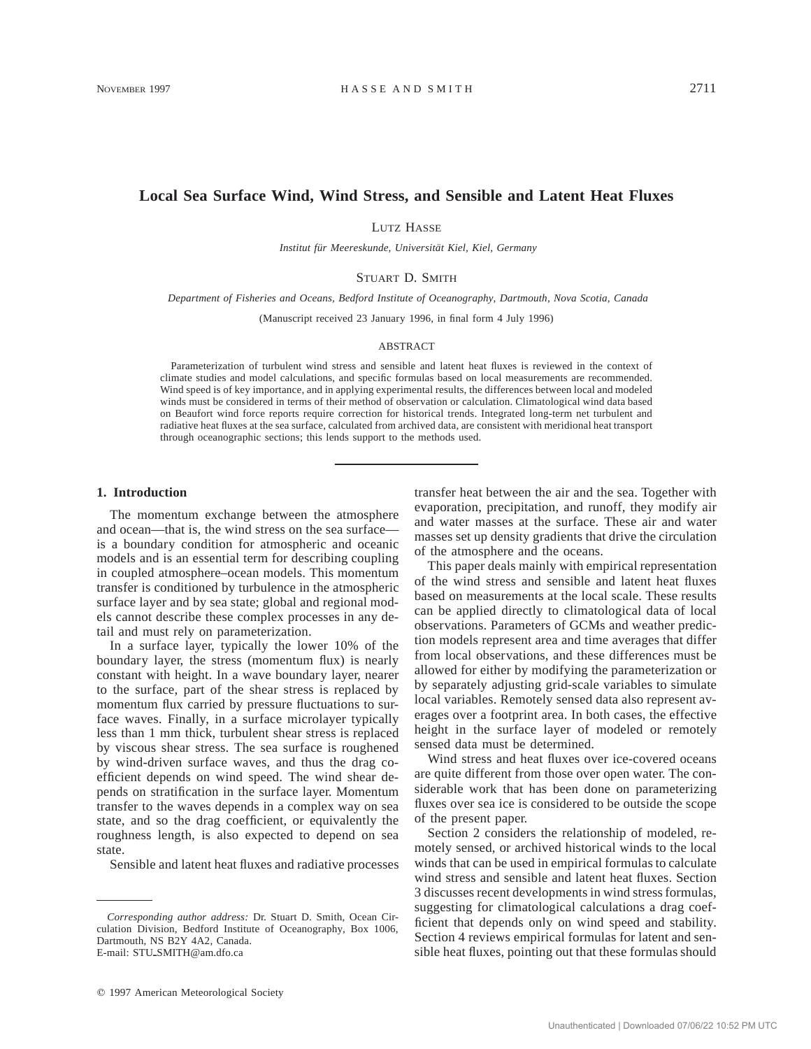# **Local Sea Surface Wind, Wind Stress, and Sensible and Latent Heat Fluxes**

LUTZ HASSE

*Institut fu¨r Meereskunde, Universita¨t Kiel, Kiel, Germany*

### STUART D. SMITH

*Department of Fisheries and Oceans, Bedford Institute of Oceanography, Dartmouth, Nova Scotia, Canada*

(Manuscript received 23 January 1996, in final form 4 July 1996)

#### ABSTRACT

Parameterization of turbulent wind stress and sensible and latent heat fluxes is reviewed in the context of climate studies and model calculations, and specific formulas based on local measurements are recommended. Wind speed is of key importance, and in applying experimental results, the differences between local and modeled winds must be considered in terms of their method of observation or calculation. Climatological wind data based on Beaufort wind force reports require correction for historical trends. Integrated long-term net turbulent and radiative heat fluxes at the sea surface, calculated from archived data, are consistent with meridional heat transport through oceanographic sections; this lends support to the methods used.

### **1. Introduction**

The momentum exchange between the atmosphere and ocean—that is, the wind stress on the sea surface is a boundary condition for atmospheric and oceanic models and is an essential term for describing coupling in coupled atmosphere–ocean models. This momentum transfer is conditioned by turbulence in the atmospheric surface layer and by sea state; global and regional models cannot describe these complex processes in any detail and must rely on parameterization.

In a surface layer, typically the lower 10% of the boundary layer, the stress (momentum flux) is nearly constant with height. In a wave boundary layer, nearer to the surface, part of the shear stress is replaced by momentum flux carried by pressure fluctuations to surface waves. Finally, in a surface microlayer typically less than 1 mm thick, turbulent shear stress is replaced by viscous shear stress. The sea surface is roughened by wind-driven surface waves, and thus the drag coefficient depends on wind speed. The wind shear depends on stratification in the surface layer. Momentum transfer to the waves depends in a complex way on sea state, and so the drag coefficient, or equivalently the roughness length, is also expected to depend on sea state.

Sensible and latent heat fluxes and radiative processes

 $© 1997 American Meteorological Society$ 

transfer heat between the air and the sea. Together with evaporation, precipitation, and runoff, they modify air and water masses at the surface. These air and water masses set up density gradients that drive the circulation of the atmosphere and the oceans.

This paper deals mainly with empirical representation of the wind stress and sensible and latent heat fluxes based on measurements at the local scale. These results can be applied directly to climatological data of local observations. Parameters of GCMs and weather prediction models represent area and time averages that differ from local observations, and these differences must be allowed for either by modifying the parameterization or by separately adjusting grid-scale variables to simulate local variables. Remotely sensed data also represent averages over a footprint area. In both cases, the effective height in the surface layer of modeled or remotely sensed data must be determined.

Wind stress and heat fluxes over ice-covered oceans are quite different from those over open water. The considerable work that has been done on parameterizing fluxes over sea ice is considered to be outside the scope of the present paper.

Section 2 considers the relationship of modeled, remotely sensed, or archived historical winds to the local winds that can be used in empirical formulas to calculate wind stress and sensible and latent heat fluxes. Section 3 discusses recent developments in wind stress formulas, suggesting for climatological calculations a drag coefficient that depends only on wind speed and stability. Section 4 reviews empirical formulas for latent and sensible heat fluxes, pointing out that these formulas should

*Corresponding author address:* Dr. Stuart D. Smith, Ocean Circulation Division, Bedford Institute of Oceanography, Box 1006, Dartmouth, NS B2Y 4A2, Canada. E-mail: STU\_SMITH@am.dfo.ca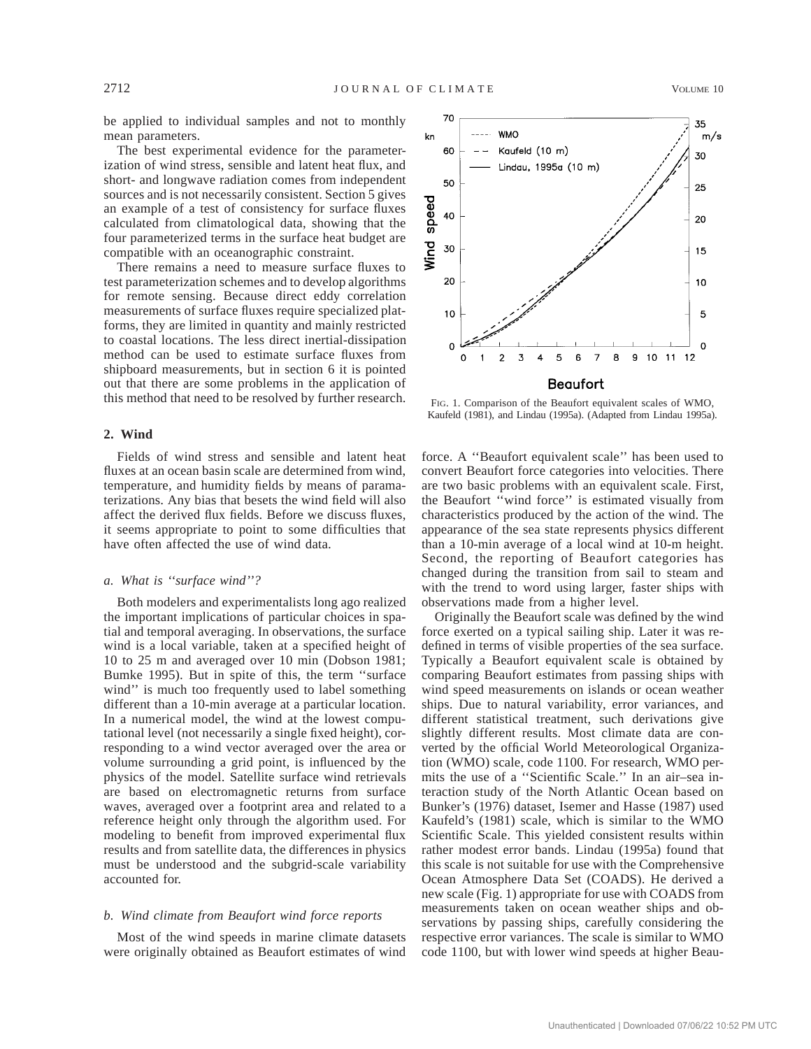be applied to individual samples and not to monthly mean parameters.

The best experimental evidence for the parameterization of wind stress, sensible and latent heat flux, and short- and longwave radiation comes from independent sources and is not necessarily consistent. Section 5 gives an example of a test of consistency for surface fluxes calculated from climatological data, showing that the four parameterized terms in the surface heat budget are compatible with an oceanographic constraint.

There remains a need to measure surface fluxes to test parameterization schemes and to develop algorithms for remote sensing. Because direct eddy correlation measurements of surface fluxes require specialized platforms, they are limited in quantity and mainly restricted to coastal locations. The less direct inertial-dissipation method can be used to estimate surface fluxes from shipboard measurements, but in section 6 it is pointed out that there are some problems in the application of this method that need to be resolved by further research.

# **2. Wind**

Fields of wind stress and sensible and latent heat fluxes at an ocean basin scale are determined from wind, temperature, and humidity fields by means of paramaterizations. Any bias that besets the wind field will also affect the derived flux fields. Before we discuss fluxes, it seems appropriate to point to some difficulties that have often affected the use of wind data.

### *a. What is ''surface wind''?*

Both modelers and experimentalists long ago realized the important implications of particular choices in spatial and temporal averaging. In observations, the surface wind is a local variable, taken at a specified height of 10 to 25 m and averaged over 10 min (Dobson 1981; Bumke 1995). But in spite of this, the term ''surface wind" is much too frequently used to label something different than a 10-min average at a particular location. In a numerical model, the wind at the lowest computational level (not necessarily a single fixed height), corresponding to a wind vector averaged over the area or volume surrounding a grid point, is influenced by the physics of the model. Satellite surface wind retrievals are based on electromagnetic returns from surface waves, averaged over a footprint area and related to a reference height only through the algorithm used. For modeling to benefit from improved experimental flux results and from satellite data, the differences in physics must be understood and the subgrid-scale variability accounted for.

# *b. Wind climate from Beaufort wind force reports*

Most of the wind speeds in marine climate datasets were originally obtained as Beaufort estimates of wind



FIG. 1. Comparison of the Beaufort equivalent scales of WMO, Kaufeld (1981), and Lindau (1995a). (Adapted from Lindau 1995a).

force. A ''Beaufort equivalent scale'' has been used to convert Beaufort force categories into velocities. There are two basic problems with an equivalent scale. First, the Beaufort ''wind force'' is estimated visually from characteristics produced by the action of the wind. The appearance of the sea state represents physics different than a 10-min average of a local wind at 10-m height. Second, the reporting of Beaufort categories has changed during the transition from sail to steam and with the trend to word using larger, faster ships with observations made from a higher level.

Originally the Beaufort scale was defined by the wind force exerted on a typical sailing ship. Later it was redefined in terms of visible properties of the sea surface. Typically a Beaufort equivalent scale is obtained by comparing Beaufort estimates from passing ships with wind speed measurements on islands or ocean weather ships. Due to natural variability, error variances, and different statistical treatment, such derivations give slightly different results. Most climate data are converted by the official World Meteorological Organization (WMO) scale, code 1100. For research, WMO permits the use of a ''Scientific Scale.'' In an air–sea interaction study of the North Atlantic Ocean based on Bunker's (1976) dataset, Isemer and Hasse (1987) used Kaufeld's (1981) scale, which is similar to the WMO Scientific Scale. This yielded consistent results within rather modest error bands. Lindau (1995a) found that this scale is not suitable for use with the Comprehensive Ocean Atmosphere Data Set (COADS). He derived a new scale (Fig. 1) appropriate for use with COADS from measurements taken on ocean weather ships and observations by passing ships, carefully considering the respective error variances. The scale is similar to WMO code 1100, but with lower wind speeds at higher Beau-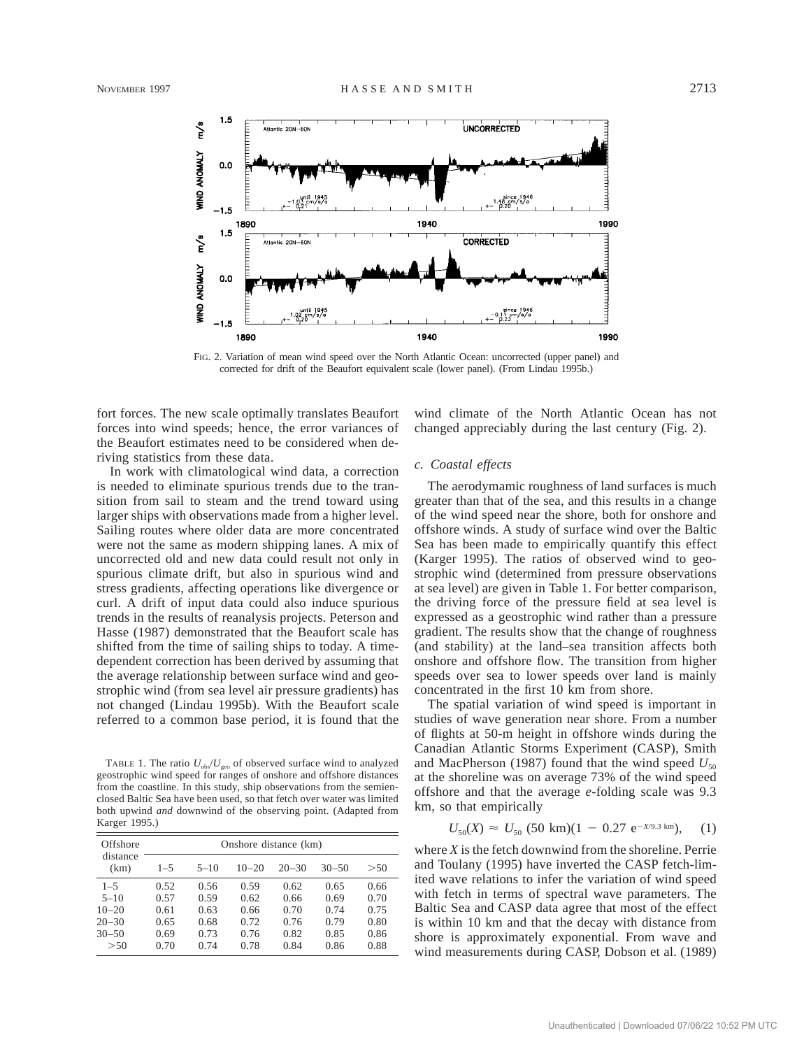

FIG. 2. Variation of mean wind speed over the North Atlantic Ocean: uncorrected (upper panel) and corrected for drift of the Beaufort equivalent scale (lower panel). (From Lindau 1995b.)

fort forces. The new scale optimally translates Beaufort forces into wind speeds; hence, the error variances of the Beaufort estimates need to be considered when deriving statistics from these data.

In work with climatological wind data, a correction is needed to eliminate spurious trends due to the transition from sail to steam and the trend toward using larger ships with observations made from a higher level. Sailing routes where older data are more concentrated were not the same as modern shipping lanes. A mix of uncorrected old and new data could result not only in spurious climate drift, but also in spurious wind and stress gradients, affecting operations like divergence or curl. A drift of input data could also induce spurious trends in the results of reanalysis projects. Peterson and Hasse (1987) demonstrated that the Beaufort scale has shifted from the time of sailing ships to today. A timedependent correction has been derived by assuming that the average relationship between surface wind and geostrophic wind (from sea level air pressure gradients) has not changed (Lindau 1995b). With the Beaufort scale referred to a common base period, it is found that the

TABLE 1. The ratio  $U_{obs}/U_{geo}$  of observed surface wind to analyzed geostrophic wind speed for ranges of onshore and offshore distances from the coastline. In this study, ship observations from the semienclosed Baltic Sea have been used, so that fetch over water was limited both upwind *and* downwind of the observing point. (Adapted from Karger 1995.)

| Offshore<br>distance<br>(km)        | Onshore distance (km) |                      |                      |                      |                      |                      |
|-------------------------------------|-----------------------|----------------------|----------------------|----------------------|----------------------|----------------------|
|                                     | $1 - 5$               | $5 - 10$             | $10 - 20$            | $20 - 30$            | $30 - 50$            | > 50                 |
| $1 - 5$<br>$5 - 10$                 | 0.52<br>0.57          | 0.56<br>0.59         | 0.59<br>0.62         | 0.62<br>0.66         | 0.65<br>0.69         | 0.66<br>0.70         |
| $10 - 20$<br>$20 - 30$<br>$30 - 50$ | 0.61<br>0.65<br>0.69  | 0.63<br>0.68<br>0.73 | 0.66<br>0.72<br>0.76 | 0.70<br>0.76<br>0.82 | 0.74<br>0.79<br>0.85 | 0.75<br>0.80<br>0.86 |
| > 50                                | 0.70                  | 0.74                 | 0.78                 | 0.84                 | 0.86                 | 0.88                 |

wind climate of the North Atlantic Ocean has not changed appreciably during the last century (Fig. 2).

# *c. Coastal effects*

The aerodymamic roughness of land surfaces is much greater than that of the sea, and this results in a change of the wind speed near the shore, both for onshore and offshore winds. A study of surface wind over the Baltic Sea has been made to empirically quantify this effect (Karger 1995). The ratios of observed wind to geostrophic wind (determined from pressure observations at sea level) are given in Table 1. For better comparison, the driving force of the pressure field at sea level is expressed as a geostrophic wind rather than a pressure gradient. The results show that the change of roughness (and stability) at the land–sea transition affects both onshore and offshore flow. The transition from higher speeds over sea to lower speeds over land is mainly concentrated in the first 10 km from shore.

The spatial variation of wind speed is important in studies of wave generation near shore. From a number of flights at 50-m height in offshore winds during the Canadian Atlantic Storms Experiment (CASP), Smith and MacPherson (1987) found that the wind speed  $U_{50}$ at the shoreline was on average 73% of the wind speed offshore and that the average *e*-folding scale was 9.3 km, so that empirically

$$
U_{50}(X) \approx U_{50} \ (50 \ \text{km})(1 - 0.27 \ \text{e}^{-X/9.3 \ \text{km}}), \quad (1)
$$

where *X* is the fetch downwind from the shoreline. Perrie and Toulany (1995) have inverted the CASP fetch-limited wave relations to infer the variation of wind speed with fetch in terms of spectral wave parameters. The Baltic Sea and CASP data agree that most of the effect is within 10 km and that the decay with distance from shore is approximately exponential. From wave and wind measurements during CASP, Dobson et al. (1989)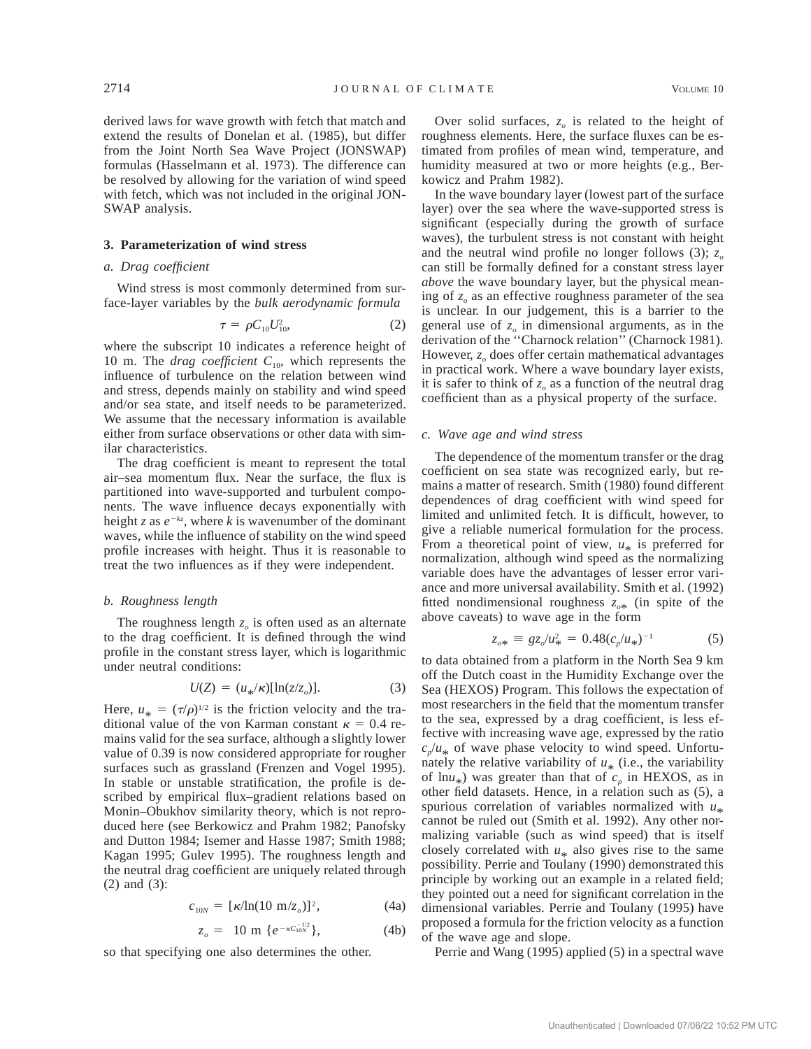derived laws for wave growth with fetch that match and extend the results of Donelan et al. (1985), but differ from the Joint North Sea Wave Project (JONSWAP) formulas (Hasselmann et al. 1973). The difference can be resolved by allowing for the variation of wind speed with fetch, which was not included in the original JON-SWAP analysis.

#### **3. Parameterization of wind stress**

### *a. Drag coefficient*

Wind stress is most commonly determined from surface-layer variables by the *bulk aerodynamic formula*

$$
\tau = \rho C_{10} U_{10}^2, \tag{2}
$$

where the subscript 10 indicates a reference height of 10 m. The *drag coefficient* C<sub>10</sub>, which represents the influence of turbulence on the relation between wind and stress, depends mainly on stability and wind speed and/or sea state, and itself needs to be parameterized. We assume that the necessary information is available either from surface observations or other data with similar characteristics.

The drag coefficient is meant to represent the total air–sea momentum flux. Near the surface, the flux is partitioned into wave-supported and turbulent components. The wave influence decays exponentially with height *z* as  $e^{-kz}$ , where *k* is wavenumber of the dominant waves, while the influence of stability on the wind speed profile increases with height. Thus it is reasonable to treat the two influences as if they were independent.

#### *b. Roughness length*

The roughness length  $z<sub>o</sub>$  is often used as an alternate to the drag coefficient. It is defined through the wind profile in the constant stress layer, which is logarithmic under neutral conditions:

$$
U(Z) = (u_{*}/\kappa)[\ln(z/z_{o})]. \tag{3}
$$

Here,  $u_* = (\tau/\rho)^{1/2}$  is the friction velocity and the traditional value of the von Karman constant  $\kappa = 0.4$  remains valid for the sea surface, although a slightly lower value of 0.39 is now considered appropriate for rougher surfaces such as grassland (Frenzen and Vogel 1995). In stable or unstable stratification, the profile is described by empirical flux–gradient relations based on Monin–Obukhov similarity theory, which is not reproduced here (see Berkowicz and Prahm 1982; Panofsky and Dutton 1984; Isemer and Hasse 1987; Smith 1988; Kagan 1995; Gulev 1995). The roughness length and the neutral drag coefficient are uniquely related through (2) and (3):

$$
c_{10N} = [\kappa/\ln(10 \text{ m}/z_o)]^2, \tag{4a}
$$

$$
z_o = 10 \text{ m } \{e^{-\kappa C_{10N}^{-1/2}}\},\tag{4b}
$$

so that specifying one also determines the other.

Over solid surfaces,  $z<sub>o</sub>$  is related to the height of roughness elements. Here, the surface fluxes can be estimated from profiles of mean wind, temperature, and humidity measured at two or more heights (e.g., Berkowicz and Prahm 1982).

In the wave boundary layer (lowest part of the surface layer) over the sea where the wave-supported stress is significant (especially during the growth of surface waves), the turbulent stress is not constant with height and the neutral wind profile no longer follows (3);  $z_o$ can still be formally defined for a constant stress layer *above* the wave boundary layer, but the physical meaning of  $z_0$  as an effective roughness parameter of the sea is unclear. In our judgement, this is a barrier to the general use of  $z<sub>o</sub>$  in dimensional arguments, as in the derivation of the ''Charnock relation'' (Charnock 1981). However, *z*<sub>o</sub> does offer certain mathematical advantages in practical work. Where a wave boundary layer exists, it is safer to think of  $z_0$  as a function of the neutral drag coefficient than as a physical property of the surface.

#### *c. Wave age and wind stress*

The dependence of the momentum transfer or the drag coefficient on sea state was recognized early, but remains a matter of research. Smith (1980) found different dependences of drag coefficient with wind speed for limited and unlimited fetch. It is difficult, however, to give a reliable numerical formulation for the process. From a theoretical point of view,  $u_*$  is preferred for normalization, although wind speed as the normalizing variable does have the advantages of lesser error variance and more universal availability. Smith et al. (1992) fitted nondimensional roughness  $z_{\text{o}}$ <sup>\*</sup> (in spite of the above caveats) to wave age in the form

$$
z_{o*} \equiv g z_o / u_*^2 = 0.48 (c_p / u_*)^{-1} \tag{5}
$$

to data obtained from a platform in the North Sea 9 km off the Dutch coast in the Humidity Exchange over the Sea (HEXOS) Program. This follows the expectation of most researchers in the field that the momentum transfer to the sea, expressed by a drag coefficient, is less effective with increasing wave age, expressed by the ratio  $c_p/u_*$  of wave phase velocity to wind speed. Unfortunately the relative variability of  $u_*$  (i.e., the variability of  $\ln u_*$ ) was greater than that of  $c_p$  in HEXOS, as in other field datasets. Hence, in a relation such as (5), a spurious correlation of variables normalized with  $u_*$  cannot be ruled out (Smith et al. 1992). Any other normalizing variable (such as wind speed) that is itself closely correlated with  $u_*$  also gives rise to the same possibility. Perrie and Toulany (1990) demonstrated this principle by working out an example in a related field; they pointed out a need for significant correlation in the dimensional variables. Perrie and Toulany (1995) have proposed a formula for the friction velocity as a function of the wave age and slope.

Perrie and Wang (1995) applied (5) in a spectral wave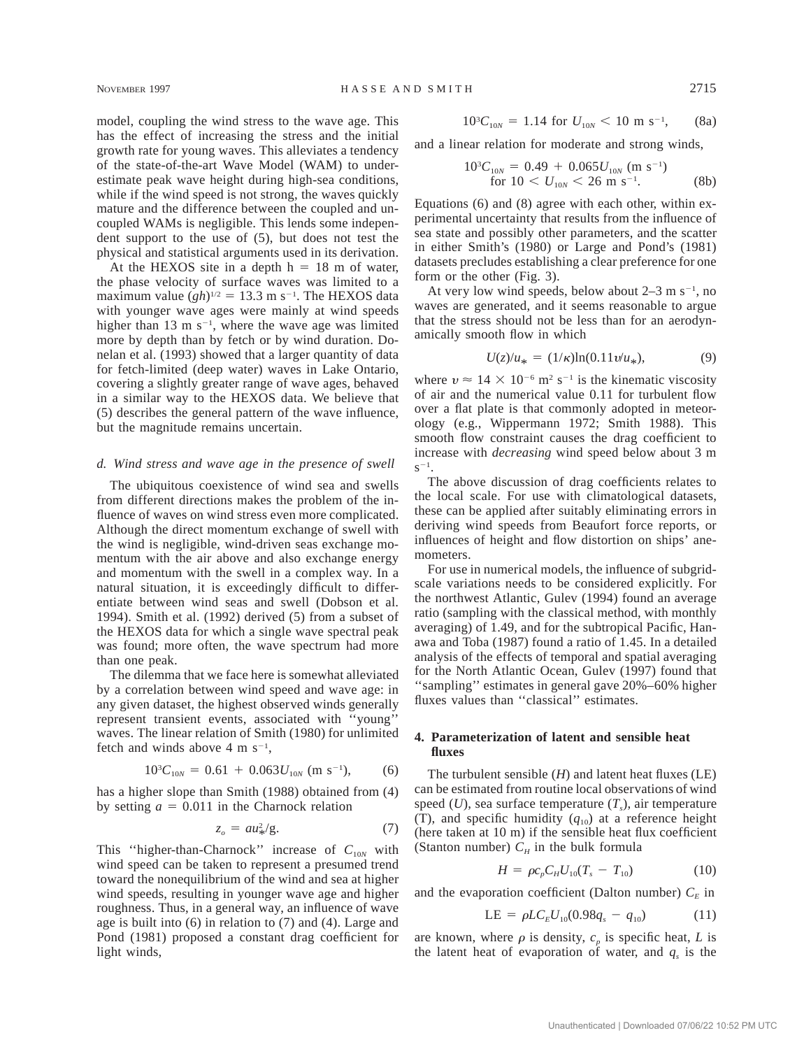model, coupling the wind stress to the wave age. This has the effect of increasing the stress and the initial growth rate for young waves. This alleviates a tendency of the state-of-the-art Wave Model (WAM) to underestimate peak wave height during high-sea conditions, while if the wind speed is not strong, the waves quickly mature and the difference between the coupled and uncoupled WAMs is negligible. This lends some independent support to the use of (5), but does not test the physical and statistical arguments used in its derivation.

At the HEXOS site in a depth  $h = 18$  m of water, the phase velocity of surface waves was limited to a maximum value  $(gh)^{1/2} = 13.3$  m s<sup>-1</sup>. The HEXOS data with younger wave ages were mainly at wind speeds higher than 13 m  $s^{-1}$ , where the wave age was limited more by depth than by fetch or by wind duration. Donelan et al. (1993) showed that a larger quantity of data for fetch-limited (deep water) waves in Lake Ontario, covering a slightly greater range of wave ages, behaved in a similar way to the HEXOS data. We believe that (5) describes the general pattern of the wave influence, but the magnitude remains uncertain.

#### *d. Wind stress and wave age in the presence of swell*

The ubiquitous coexistence of wind sea and swells from different directions makes the problem of the influence of waves on wind stress even more complicated. Although the direct momentum exchange of swell with the wind is negligible, wind-driven seas exchange momentum with the air above and also exchange energy and momentum with the swell in a complex way. In a natural situation, it is exceedingly difficult to differentiate between wind seas and swell (Dobson et al. 1994). Smith et al. (1992) derived (5) from a subset of the HEXOS data for which a single wave spectral peak was found; more often, the wave spectrum had more than one peak.

The dilemma that we face here is somewhat alleviated by a correlation between wind speed and wave age: in any given dataset, the highest observed winds generally represent transient events, associated with ''young'' waves. The linear relation of Smith (1980) for unlimited fetch and winds above  $4 \text{ m s}^{-1}$ ,

$$
10^{3}C_{10N} = 0.61 + 0.063U_{10N} \text{ (m s}^{-1)}, \qquad (6)
$$

has a higher slope than Smith (1988) obtained from (4) by setting  $a = 0.011$  in the Charnock relation

$$
z_o = au_x^2/g. \tag{7}
$$

This "higher-than-Charnock" increase of  $C_{10N}$  with wind speed can be taken to represent a presumed trend toward the nonequilibrium of the wind and sea at higher wind speeds, resulting in younger wave age and higher roughness. Thus, in a general way, an influence of wave age is built into (6) in relation to (7) and (4). Large and Pond (1981) proposed a constant drag coefficient for light winds,

$$
10^{3}C_{10N} = 1.14 \text{ for } U_{10N} < 10 \text{ m s}^{-1}, \qquad \text{(8a)}
$$

and a linear relation for moderate and strong winds,

$$
10^{3}C_{10N} = 0.49 + 0.065U_{10N} \text{ (m s}^{-1)}
$$
  
for  $10 < U_{10N} < 26 \text{ m s}^{-1}$ . (8b)

Equations (6) and (8) agree with each other, within experimental uncertainty that results from the influence of sea state and possibly other parameters, and the scatter in either Smith's (1980) or Large and Pond's (1981) datasets precludes establishing a clear preference for one form or the other (Fig. 3).

At very low wind speeds, below about  $2-3$  m s<sup>-1</sup>, no waves are generated, and it seems reasonable to argue that the stress should not be less than for an aerodynamically smooth flow in which

$$
U(z)/u_* = (1/\kappa) \ln(0.11 v/u_*), \tag{9}
$$

where  $v \approx 14 \times 10^{-6}$  m<sup>2</sup> s<sup>-1</sup> is the kinematic viscosity of air and the numerical value 0.11 for turbulent flow over a flat plate is that commonly adopted in meteorology (e.g., Wippermann 1972; Smith 1988). This smooth flow constraint causes the drag coefficient to increase with *decreasing* wind speed below about 3 m  $s^{-1}$ .

The above discussion of drag coefficients relates to the local scale. For use with climatological datasets, these can be applied after suitably eliminating errors in deriving wind speeds from Beaufort force reports, or influences of height and flow distortion on ships' anemometers.

For use in numerical models, the influence of subgridscale variations needs to be considered explicitly. For the northwest Atlantic, Gulev (1994) found an average ratio (sampling with the classical method, with monthly averaging) of 1.49, and for the subtropical Pacific, Hanawa and Toba (1987) found a ratio of 1.45. In a detailed analysis of the effects of temporal and spatial averaging for the North Atlantic Ocean, Gulev (1997) found that ''sampling'' estimates in general gave 20%–60% higher fluxes values than ''classical'' estimates.

# **4. Parameterization of latent and sensible heat fluxes**

The turbulent sensible (*H*) and latent heat fluxes (LE) can be estimated from routine local observations of wind speed  $(U)$ , sea surface temperature  $(T<sub>s</sub>)$ , air temperature (T), and specific humidity  $(q_{10})$  at a reference height (here taken at 10 m) if the sensible heat flux coefficient (Stanton number)  $C_H$  in the bulk formula

$$
H = \rho c_p C_H U_{10} (T_s - T_{10}) \tag{10}
$$

and the evaporation coefficient (Dalton number)  $C<sub>E</sub>$  in

$$
LE = \rho L C_E U_{10}(0.98q_s - q_{10}) \tag{11}
$$

are known, where  $\rho$  is density,  $c_p$  is specific heat, *L* is the latent heat of evaporation of water, and  $q_s$  is the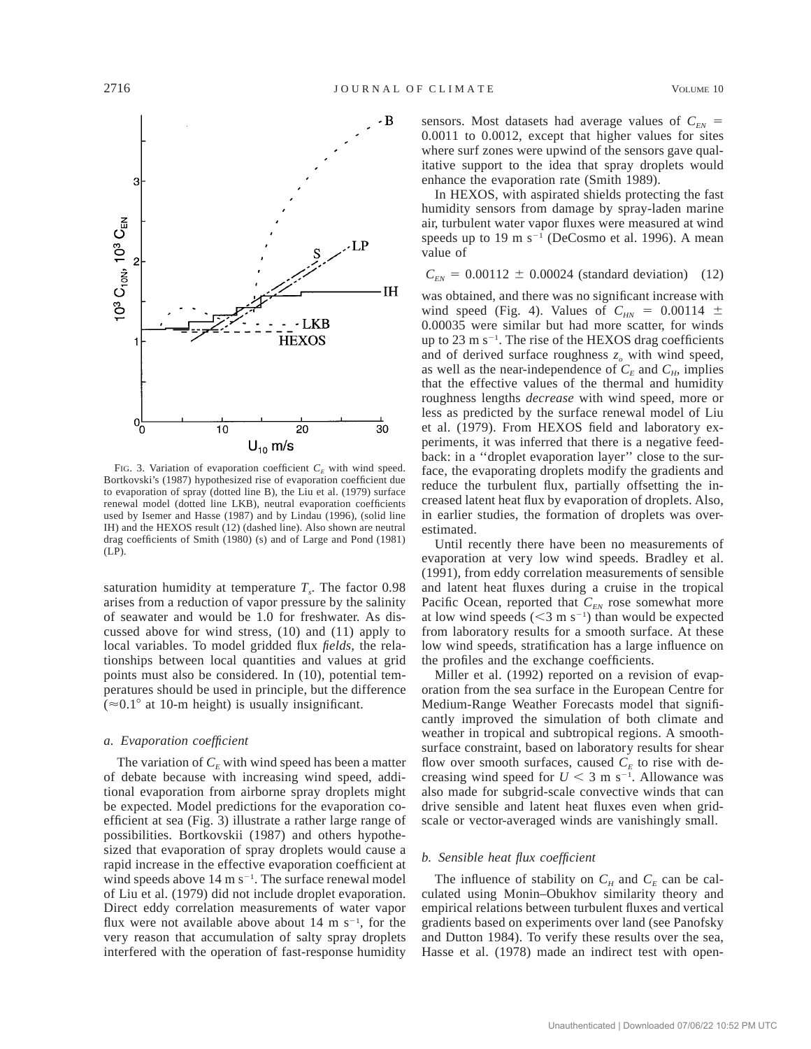

FIG. 3. Variation of evaporation coefficient  $C_F$  with wind speed. Bortkovski's (1987) hypothesized rise of evaporation coefficient due to evaporation of spray (dotted line B), the Liu et al. (1979) surface renewal model (dotted line LKB), neutral evaporation coefficients used by Isemer and Hasse (1987) and by Lindau (1996), (solid line IH) and the HEXOS result (12) (dashed line). Also shown are neutral drag coefficients of Smith (1980) (s) and of Large and Pond (1981) (LP).

saturation humidity at temperature  $T<sub>s</sub>$ . The factor 0.98 arises from a reduction of vapor pressure by the salinity of seawater and would be 1.0 for freshwater. As discussed above for wind stress, (10) and (11) apply to local variables. To model gridded flux *fields,* the relationships between local quantities and values at grid points must also be considered. In (10), potential temperatures should be used in principle, but the difference  $(\approx 0.1^{\circ}$  at 10-m height) is usually insignificant.

# *a. Evaporation coefficient*

The variation of  $C_E$  with wind speed has been a matter of debate because with increasing wind speed, additional evaporation from airborne spray droplets might be expected. Model predictions for the evaporation coefficient at sea (Fig. 3) illustrate a rather large range of possibilities. Bortkovskii (1987) and others hypothesized that evaporation of spray droplets would cause a rapid increase in the effective evaporation coefficient at wind speeds above  $14 \text{ m s}^{-1}$ . The surface renewal model of Liu et al. (1979) did not include droplet evaporation. Direct eddy correlation measurements of water vapor flux were not available above about  $14 \text{ m s}^{-1}$ , for the very reason that accumulation of salty spray droplets interfered with the operation of fast-response humidity

sensors. Most datasets had average values of  $C_{\text{EN}}$  = 0.0011 to 0.0012, except that higher values for sites where surf zones were upwind of the sensors gave qualitative support to the idea that spray droplets would enhance the evaporation rate (Smith 1989).

In HEXOS, with aspirated shields protecting the fast humidity sensors from damage by spray-laden marine air, turbulent water vapor fluxes were measured at wind speeds up to  $19 \text{ m s}^{-1}$  (DeCosmo et al. 1996). A mean value of

 $C_{\text{EN}} = 0.00112 \pm 0.00024$  (standard deviation) (12)

was obtained, and there was no significant increase with wind speed (Fig. 4). Values of  $C_{HN} = 0.00114 \pm$ 0.00035 were similar but had more scatter, for winds up to  $23 \text{ m s}^{-1}$ . The rise of the HEXOS drag coefficients and of derived surface roughness  $z<sub>o</sub>$  with wind speed, as well as the near-independence of  $C_F$  and  $C_H$ , implies that the effective values of the thermal and humidity roughness lengths *decrease* with wind speed, more or less as predicted by the surface renewal model of Liu et al. (1979). From HEXOS field and laboratory experiments, it was inferred that there is a negative feedback: in a ''droplet evaporation layer'' close to the surface, the evaporating droplets modify the gradients and reduce the turbulent flux, partially offsetting the increased latent heat flux by evaporation of droplets. Also, in earlier studies, the formation of droplets was overestimated.

Until recently there have been no measurements of evaporation at very low wind speeds. Bradley et al. (1991), from eddy correlation measurements of sensible and latent heat fluxes during a cruise in the tropical Pacific Ocean, reported that  $C_{EN}$  rose somewhat more at low wind speeds  $(< 3 \text{ m s}^{-1})$  than would be expected from laboratory results for a smooth surface. At these low wind speeds, stratification has a large influence on the profiles and the exchange coefficients.

Miller et al. (1992) reported on a revision of evaporation from the sea surface in the European Centre for Medium-Range Weather Forecasts model that significantly improved the simulation of both climate and weather in tropical and subtropical regions. A smoothsurface constraint, based on laboratory results for shear flow over smooth surfaces, caused  $C_E$  to rise with decreasing wind speed for  $U \leq 3$  m s<sup>-1</sup>. Allowance was also made for subgrid-scale convective winds that can drive sensible and latent heat fluxes even when gridscale or vector-averaged winds are vanishingly small.

# *b. Sensible heat flux coefficient*

The influence of stability on  $C_H$  and  $C_E$  can be calculated using Monin–Obukhov similarity theory and empirical relations between turbulent fluxes and vertical gradients based on experiments over land (see Panofsky and Dutton 1984). To verify these results over the sea, Hasse et al. (1978) made an indirect test with open-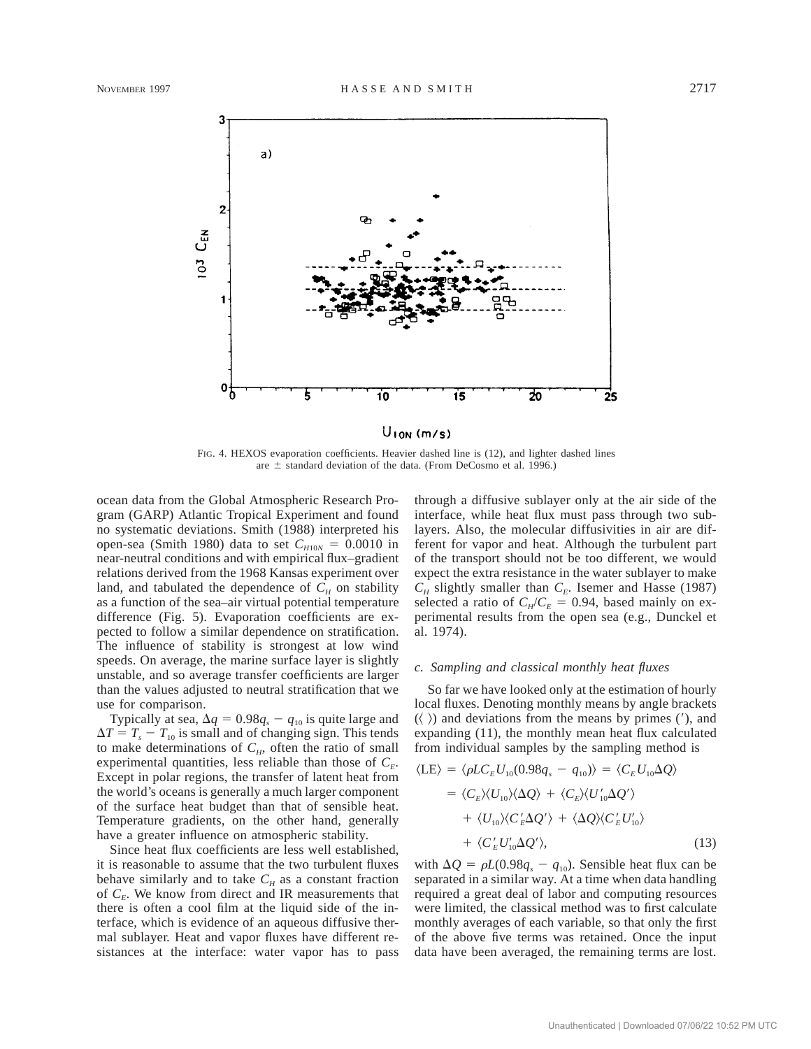

FIG. 4. HEXOS evaporation coefficients. Heavier dashed line is (12), and lighter dashed lines are  $\pm$  standard deviation of the data. (From DeCosmo et al. 1996.)

ocean data from the Global Atmospheric Research Program (GARP) Atlantic Tropical Experiment and found no systematic deviations. Smith (1988) interpreted his open-sea (Smith 1980) data to set  $C_{H10N} = 0.0010$  in near-neutral conditions and with empirical flux–gradient relations derived from the 1968 Kansas experiment over land, and tabulated the dependence of  $C_H$  on stability as a function of the sea–air virtual potential temperature difference (Fig. 5). Evaporation coefficients are expected to follow a similar dependence on stratification. The influence of stability is strongest at low wind speeds. On average, the marine surface layer is slightly unstable, and so average transfer coefficients are larger than the values adjusted to neutral stratification that we use for comparison.

Typically at sea,  $\Delta q = 0.98q_s - q_{10}$  is quite large and  $\Delta T = T_s - T_{10}$  is small and of changing sign. This tends to make determinations of  $C_H$ , often the ratio of small experimental quantities, less reliable than those of  $C_{E}$ . Except in polar regions, the transfer of latent heat from the world's oceans is generally a much larger component of the surface heat budget than that of sensible heat. Temperature gradients, on the other hand, generally have a greater influence on atmospheric stability.

Since heat flux coefficients are less well established, it is reasonable to assume that the two turbulent fluxes behave similarly and to take  $C_H$  as a constant fraction of  $C_F$ . We know from direct and IR measurements that there is often a cool film at the liquid side of the interface, which is evidence of an aqueous diffusive thermal sublayer. Heat and vapor fluxes have different resistances at the interface: water vapor has to pass through a diffusive sublayer only at the air side of the interface, while heat flux must pass through two sublayers. Also, the molecular diffusivities in air are different for vapor and heat. Although the turbulent part of the transport should not be too different, we would expect the extra resistance in the water sublayer to make  $C_H$  slightly smaller than  $C_E$ . Isemer and Hasse (1987) selected a ratio of  $C_H/C_E = 0.94$ , based mainly on experimental results from the open sea (e.g., Dunckel et al. 1974).

# *c. Sampling and classical monthly heat fluxes*

So far we have looked only at the estimation of hourly local fluxes. Denoting monthly means by angle brackets  $(\langle \ \rangle)$  and deviations from the means by primes ('), and expanding (11), the monthly mean heat flux calculated from individual samples by the sampling method is

$$
\langle LE \rangle = \langle \rho LC_E U_{10}(0.98q_s - q_{10}) \rangle = \langle C_E U_{10} \Delta Q \rangle
$$
  
=  $\langle C_E \rangle \langle U_{10} \rangle \langle \Delta Q \rangle + \langle C_E \rangle \langle U'_{10} \Delta Q' \rangle$   
+  $\langle U_{10} \rangle \langle C'_E \Delta Q' \rangle + \langle \Delta Q \rangle \langle C'_E U'_{10} \rangle$   
+  $\langle C'_E U'_{10} \Delta Q' \rangle$ , (13)

with  $\Delta Q = \rho L(0.98q_s - q_{10})$ . Sensible heat flux can be separated in a similar way. At a time when data handling required a great deal of labor and computing resources were limited, the classical method was to first calculate monthly averages of each variable, so that only the first of the above five terms was retained. Once the input data have been averaged, the remaining terms are lost.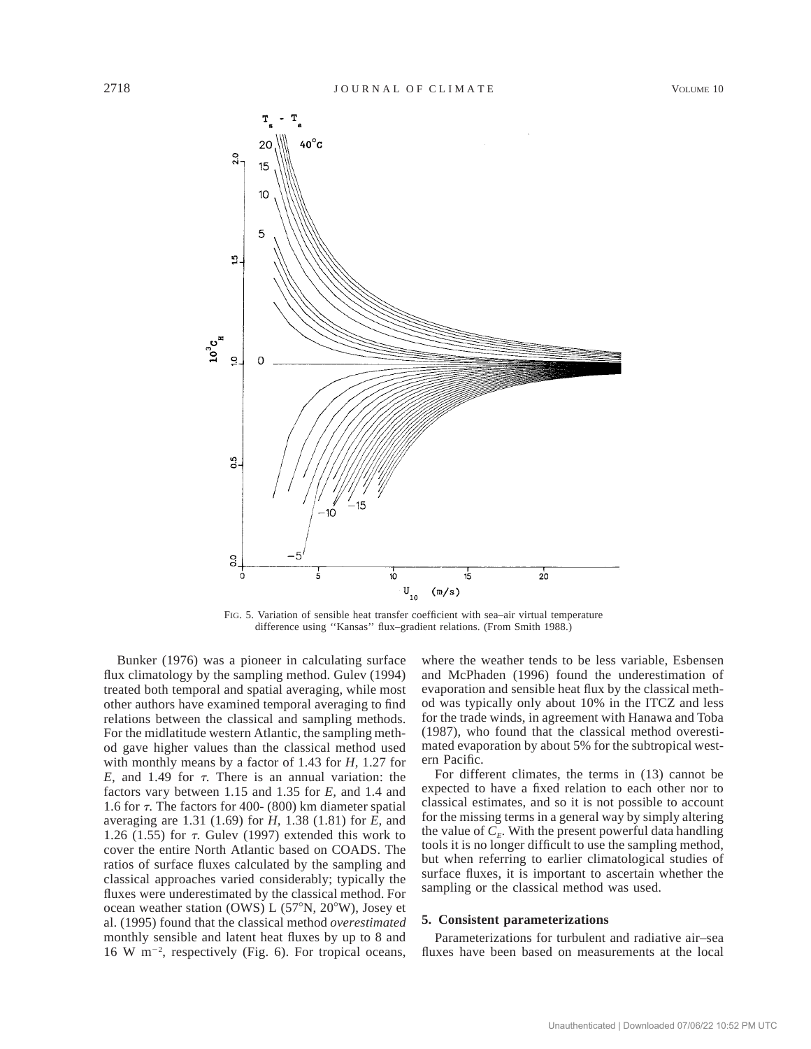

FIG. 5. Variation of sensible heat transfer coefficient with sea–air virtual temperature difference using ''Kansas'' flux–gradient relations. (From Smith 1988.)

Bunker (1976) was a pioneer in calculating surface flux climatology by the sampling method. Gulev (1994) treated both temporal and spatial averaging, while most other authors have examined temporal averaging to find relations between the classical and sampling methods. For the midlatitude western Atlantic, the sampling method gave higher values than the classical method used with monthly means by a factor of 1.43 for *H,* 1.27 for *E*, and 1.49 for  $\tau$ . There is an annual variation: the factors vary between 1.15 and 1.35 for *E,* and 1.4 and 1.6 for  $\tau$ . The factors for 400- (800) km diameter spatial averaging are 1.31 (1.69) for *H,* 1.38 (1.81) for *E,* and 1.26 (1.55) for  $\tau$ . Gulev (1997) extended this work to cover the entire North Atlantic based on COADS. The ratios of surface fluxes calculated by the sampling and classical approaches varied considerably; typically the fluxes were underestimated by the classical method. For ocean weather station (OWS)  $L$  (57°N, 20°W), Josey et al. (1995) found that the classical method *overestimated* monthly sensible and latent heat fluxes by up to 8 and  $16 \text{ W m}^{-2}$ , respectively (Fig. 6). For tropical oceans,

where the weather tends to be less variable, Esbensen and McPhaden (1996) found the underestimation of evaporation and sensible heat flux by the classical method was typically only about 10% in the ITCZ and less for the trade winds, in agreement with Hanawa and Toba (1987), who found that the classical method overestimated evaporation by about 5% for the subtropical western Pacific.

For different climates, the terms in (13) cannot be expected to have a fixed relation to each other nor to classical estimates, and so it is not possible to account for the missing terms in a general way by simply altering the value of  $C_F$ . With the present powerful data handling tools it is no longer difficult to use the sampling method, but when referring to earlier climatological studies of surface fluxes, it is important to ascertain whether the sampling or the classical method was used.

### **5. Consistent parameterizations**

Parameterizations for turbulent and radiative air–sea fluxes have been based on measurements at the local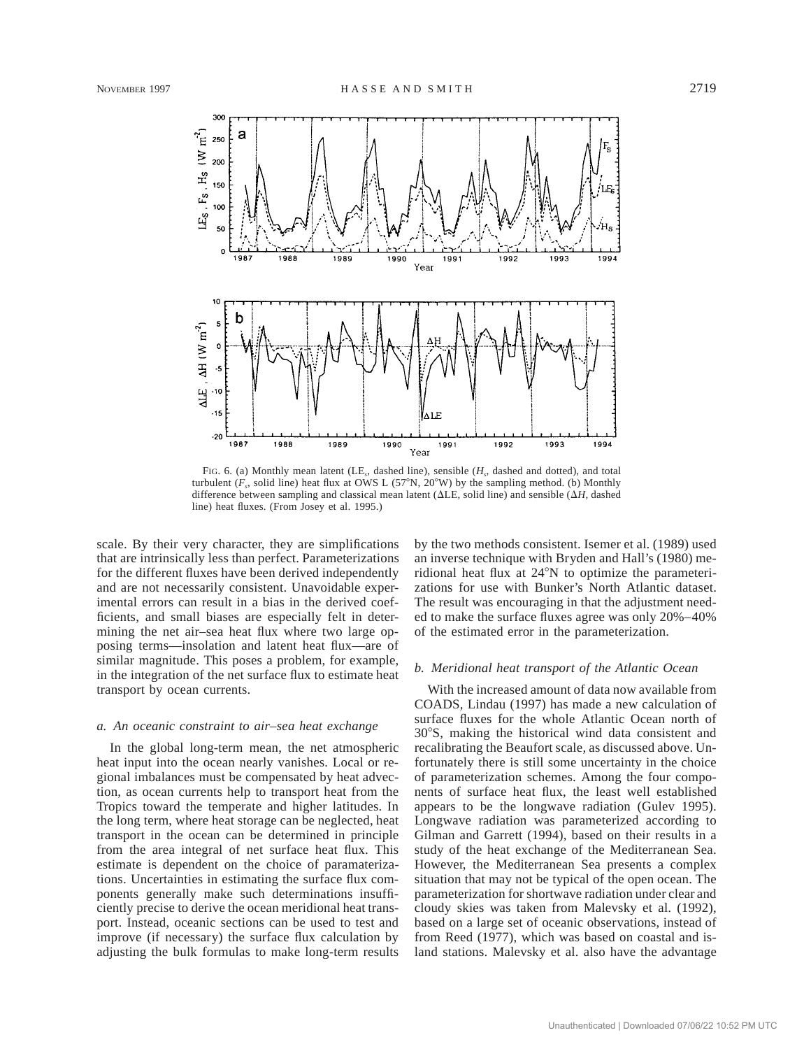

FIG. 6. (a) Monthly mean latent (LE*s*, dashed line), sensible (*Hs*, dashed and dotted), and total turbulent  $(F_s$ , solid line) heat flux at OWS L (57°N, 20°W) by the sampling method. (b) Monthly difference between sampling and classical mean latent ( $\Delta$ LE, solid line) and sensible ( $\Delta$ *H*, dashed line) heat fluxes. (From Josey et al. 1995.)

scale. By their very character, they are simplifications that are intrinsically less than perfect. Parameterizations for the different fluxes have been derived independently and are not necessarily consistent. Unavoidable experimental errors can result in a bias in the derived coefficients, and small biases are especially felt in determining the net air–sea heat flux where two large opposing terms—insolation and latent heat flux—are of similar magnitude. This poses a problem, for example, in the integration of the net surface flux to estimate heat transport by ocean currents.

### *a. An oceanic constraint to air–sea heat exchange*

In the global long-term mean, the net atmospheric heat input into the ocean nearly vanishes. Local or regional imbalances must be compensated by heat advection, as ocean currents help to transport heat from the Tropics toward the temperate and higher latitudes. In the long term, where heat storage can be neglected, heat transport in the ocean can be determined in principle from the area integral of net surface heat flux. This estimate is dependent on the choice of paramaterizations. Uncertainties in estimating the surface flux components generally make such determinations insufficiently precise to derive the ocean meridional heat transport. Instead, oceanic sections can be used to test and improve (if necessary) the surface flux calculation by adjusting the bulk formulas to make long-term results by the two methods consistent. Isemer et al. (1989) used an inverse technique with Bryden and Hall's (1980) meridional heat flux at  $24^{\circ}$ N to optimize the parameterizations for use with Bunker's North Atlantic dataset. The result was encouraging in that the adjustment needed to make the surface fluxes agree was only 20%–40% of the estimated error in the parameterization.

# *b. Meridional heat transport of the Atlantic Ocean*

With the increased amount of data now available from COADS, Lindau (1997) has made a new calculation of surface fluxes for the whole Atlantic Ocean north of 308S, making the historical wind data consistent and recalibrating the Beaufort scale, as discussed above. Unfortunately there is still some uncertainty in the choice of parameterization schemes. Among the four components of surface heat flux, the least well established appears to be the longwave radiation (Gulev 1995). Longwave radiation was parameterized according to Gilman and Garrett (1994), based on their results in a study of the heat exchange of the Mediterranean Sea. However, the Mediterranean Sea presents a complex situation that may not be typical of the open ocean. The parameterization for shortwave radiation under clear and cloudy skies was taken from Malevsky et al. (1992), based on a large set of oceanic observations, instead of from Reed (1977), which was based on coastal and island stations. Malevsky et al. also have the advantage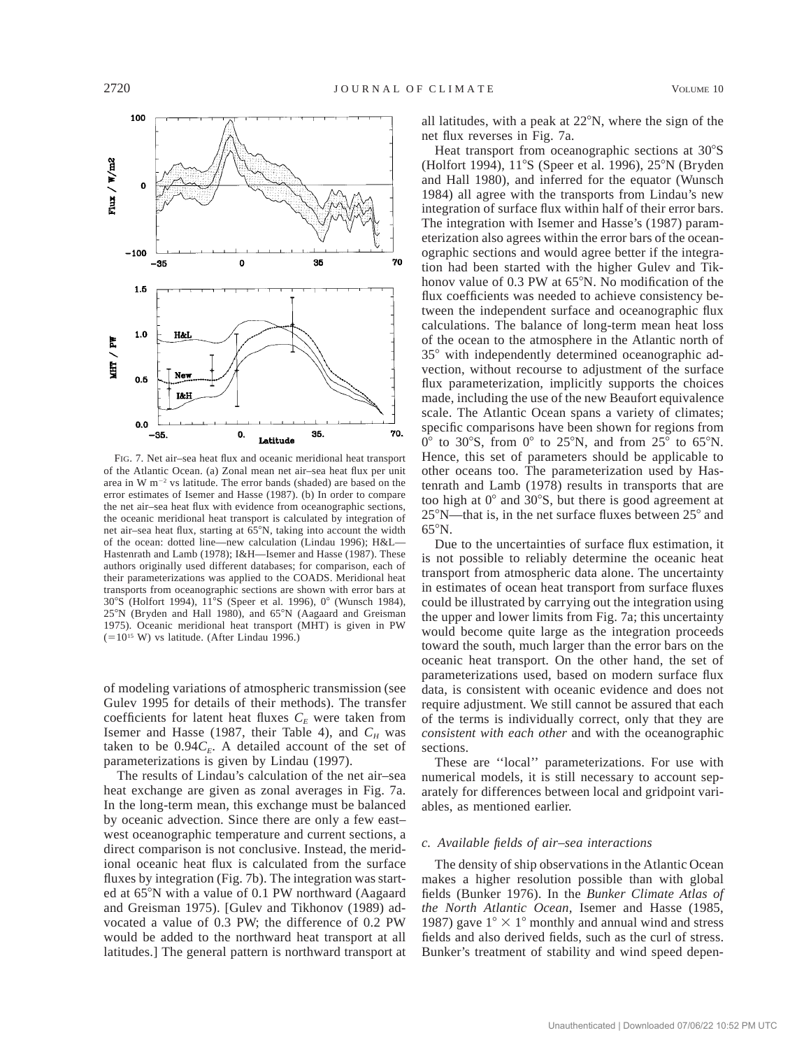

FIG. 7. Net air–sea heat flux and oceanic meridional heat transport of the Atlantic Ocean. (a) Zonal mean net air–sea heat flux per unit area in W  $m^{-2}$  vs latitude. The error bands (shaded) are based on the error estimates of Isemer and Hasse (1987). (b) In order to compare the net air–sea heat flux with evidence from oceanographic sections, the oceanic meridional heat transport is calculated by integration of net air–sea heat flux, starting at 65°N, taking into account the width of the ocean: dotted line—new calculation (Lindau 1996); H&L— Hastenrath and Lamb (1978); I&H—Isemer and Hasse (1987). These authors originally used different databases; for comparison, each of their parameterizations was applied to the COADS. Meridional heat transports from oceanographic sections are shown with error bars at 30°S (Holfort 1994), 11°S (Speer et al. 1996), 0° (Wunsch 1984), 25°N (Bryden and Hall 1980), and 65°N (Aagaard and Greisman 1975). Oceanic meridional heat transport (MHT) is given in PW  $(=10^{15}$  W) vs latitude. (After Lindau 1996.)

of modeling variations of atmospheric transmission (see Gulev 1995 for details of their methods). The transfer coefficients for latent heat fluxes  $C<sub>E</sub>$  were taken from Isemer and Hasse (1987, their Table 4), and  $C_H$  was taken to be  $0.94C_E$ . A detailed account of the set of parameterizations is given by Lindau (1997).

The results of Lindau's calculation of the net air–sea heat exchange are given as zonal averages in Fig. 7a. In the long-term mean, this exchange must be balanced by oceanic advection. Since there are only a few east– west oceanographic temperature and current sections, a direct comparison is not conclusive. Instead, the meridional oceanic heat flux is calculated from the surface fluxes by integration (Fig. 7b). The integration was started at 65°N with a value of 0.1 PW northward (Aagaard and Greisman 1975). [Gulev and Tikhonov (1989) advocated a value of 0.3 PW; the difference of 0.2 PW would be added to the northward heat transport at all latitudes.] The general pattern is northward transport at

all latitudes, with a peak at  $22^{\circ}$ N, where the sign of the net flux reverses in Fig. 7a.

Heat transport from oceanographic sections at  $30^{\circ}$ S (Holfort 1994), 11°S (Speer et al. 1996), 25°N (Bryden and Hall 1980), and inferred for the equator (Wunsch 1984) all agree with the transports from Lindau's new integration of surface flux within half of their error bars. The integration with Isemer and Hasse's (1987) parameterization also agrees within the error bars of the oceanographic sections and would agree better if the integration had been started with the higher Gulev and Tikhonov value of  $0.3$  PW at  $65^{\circ}$ N. No modification of the flux coefficients was needed to achieve consistency between the independent surface and oceanographic flux calculations. The balance of long-term mean heat loss of the ocean to the atmosphere in the Atlantic north of 35° with independently determined oceanographic advection, without recourse to adjustment of the surface flux parameterization, implicitly supports the choices made, including the use of the new Beaufort equivalence scale. The Atlantic Ocean spans a variety of climates; specific comparisons have been shown for regions from  $0^{\circ}$  to 30°S, from  $0^{\circ}$  to 25°N, and from 25° to 65°N. Hence, this set of parameters should be applicable to other oceans too. The parameterization used by Hastenrath and Lamb (1978) results in transports that are too high at  $0^{\circ}$  and  $30^{\circ}$ S, but there is good agreement at  $25^{\circ}$ N—that is, in the net surface fluxes between  $25^{\circ}$  and  $65^{\circ}$ N.

Due to the uncertainties of surface flux estimation, it is not possible to reliably determine the oceanic heat transport from atmospheric data alone. The uncertainty in estimates of ocean heat transport from surface fluxes could be illustrated by carrying out the integration using the upper and lower limits from Fig. 7a; this uncertainty would become quite large as the integration proceeds toward the south, much larger than the error bars on the oceanic heat transport. On the other hand, the set of parameterizations used, based on modern surface flux data, is consistent with oceanic evidence and does not require adjustment. We still cannot be assured that each of the terms is individually correct, only that they are *consistent with each other* and with the oceanographic sections.

These are ''local'' parameterizations. For use with numerical models, it is still necessary to account separately for differences between local and gridpoint variables, as mentioned earlier.

# *c. Available fields of air–sea interactions*

The density of ship observations in the Atlantic Ocean makes a higher resolution possible than with global fields (Bunker 1976). In the *Bunker Climate Atlas of the North Atlantic Ocean,* Isemer and Hasse (1985, 1987) gave  $1^{\circ} \times 1^{\circ}$  monthly and annual wind and stress fields and also derived fields, such as the curl of stress. Bunker's treatment of stability and wind speed depen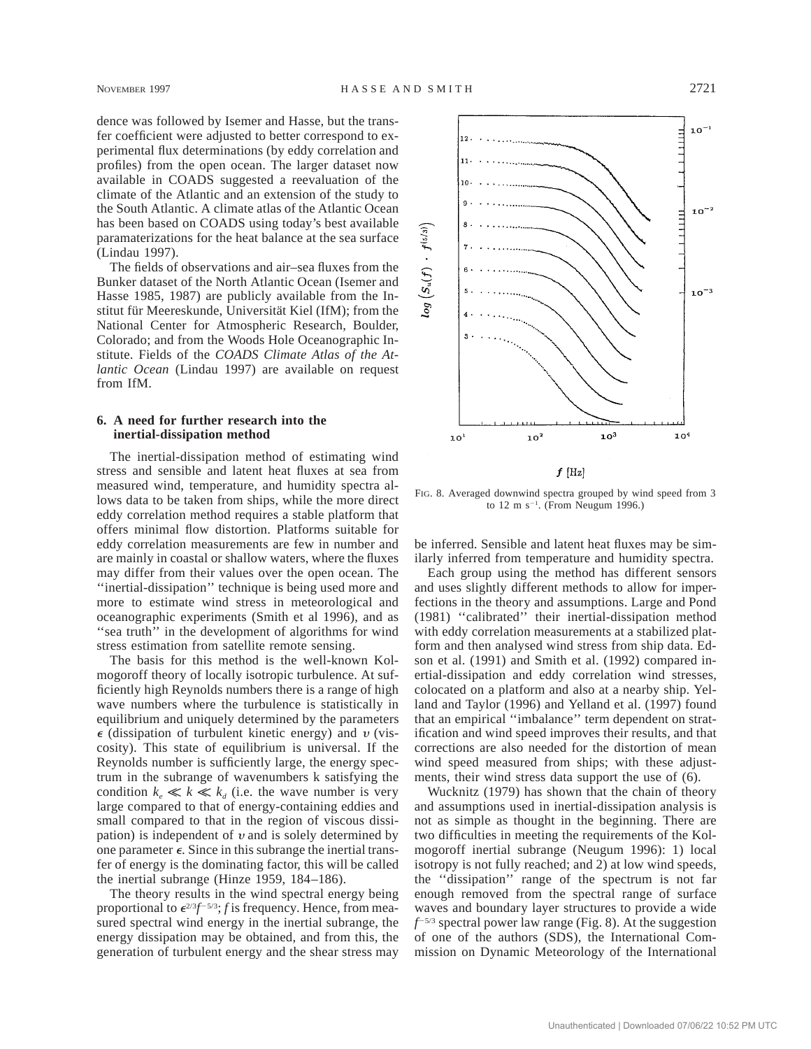dence was followed by Isemer and Hasse, but the transfer coefficient were adjusted to better correspond to experimental flux determinations (by eddy correlation and profiles) from the open ocean. The larger dataset now available in COADS suggested a reevaluation of the climate of the Atlantic and an extension of the study to the South Atlantic. A climate atlas of the Atlantic Ocean has been based on COADS using today's best available paramaterizations for the heat balance at the sea surface (Lindau 1997).

The fields of observations and air–sea fluxes from the Bunker dataset of the North Atlantic Ocean (Isemer and Hasse 1985, 1987) are publicly available from the Institut für Meereskunde, Universität Kiel (IfM); from the National Center for Atmospheric Research, Boulder, Colorado; and from the Woods Hole Oceanographic Institute. Fields of the *COADS Climate Atlas of the Atlantic Ocean* (Lindau 1997) are available on request from IfM.

# **6. A need for further research into the inertial-dissipation method**

The inertial-dissipation method of estimating wind stress and sensible and latent heat fluxes at sea from measured wind, temperature, and humidity spectra allows data to be taken from ships, while the more direct eddy correlation method requires a stable platform that offers minimal flow distortion. Platforms suitable for eddy correlation measurements are few in number and are mainly in coastal or shallow waters, where the fluxes may differ from their values over the open ocean. The ''inertial-dissipation'' technique is being used more and more to estimate wind stress in meteorological and oceanographic experiments (Smith et al 1996), and as "sea truth" in the development of algorithms for wind stress estimation from satellite remote sensing.

The basis for this method is the well-known Kolmogoroff theory of locally isotropic turbulence. At sufficiently high Reynolds numbers there is a range of high wave numbers where the turbulence is statistically in equilibrium and uniquely determined by the parameters  $\epsilon$  (dissipation of turbulent kinetic energy) and v (viscosity). This state of equilibrium is universal. If the Reynolds number is sufficiently large, the energy spectrum in the subrange of wavenumbers k satisfying the condition  $k_e \ll k \ll k_d$  (i.e. the wave number is very large compared to that of energy-containing eddies and small compared to that in the region of viscous dissipation) is independent of  $\nu$  and is solely determined by one parameter  $\epsilon$ . Since in this subrange the inertial transfer of energy is the dominating factor, this will be called the inertial subrange (Hinze 1959, 184–186).

The theory results in the wind spectral energy being proportional to  $\epsilon^{2/3}f^{-5/3}$ ; *f* is frequency. Hence, from measured spectral wind energy in the inertial subrange, the energy dissipation may be obtained, and from this, the generation of turbulent energy and the shear stress may



FIG. 8. Averaged downwind spectra grouped by wind speed from 3 to  $12 \text{ m s}^{-1}$ . (From Neugum 1996.)

be inferred. Sensible and latent heat fluxes may be similarly inferred from temperature and humidity spectra.

Each group using the method has different sensors and uses slightly different methods to allow for imperfections in the theory and assumptions. Large and Pond (1981) ''calibrated'' their inertial-dissipation method with eddy correlation measurements at a stabilized platform and then analysed wind stress from ship data. Edson et al. (1991) and Smith et al. (1992) compared inertial-dissipation and eddy correlation wind stresses, colocated on a platform and also at a nearby ship. Yelland and Taylor (1996) and Yelland et al. (1997) found that an empirical ''imbalance'' term dependent on stratification and wind speed improves their results, and that corrections are also needed for the distortion of mean wind speed measured from ships; with these adjustments, their wind stress data support the use of (6).

Wucknitz (1979) has shown that the chain of theory and assumptions used in inertial-dissipation analysis is not as simple as thought in the beginning. There are two difficulties in meeting the requirements of the Kolmogoroff inertial subrange (Neugum 1996): 1) local isotropy is not fully reached; and 2) at low wind speeds, the ''dissipation'' range of the spectrum is not far enough removed from the spectral range of surface waves and boundary layer structures to provide a wide  $f$ <sup>-5/3</sup> spectral power law range (Fig. 8). At the suggestion of one of the authors (SDS), the International Commission on Dynamic Meteorology of the International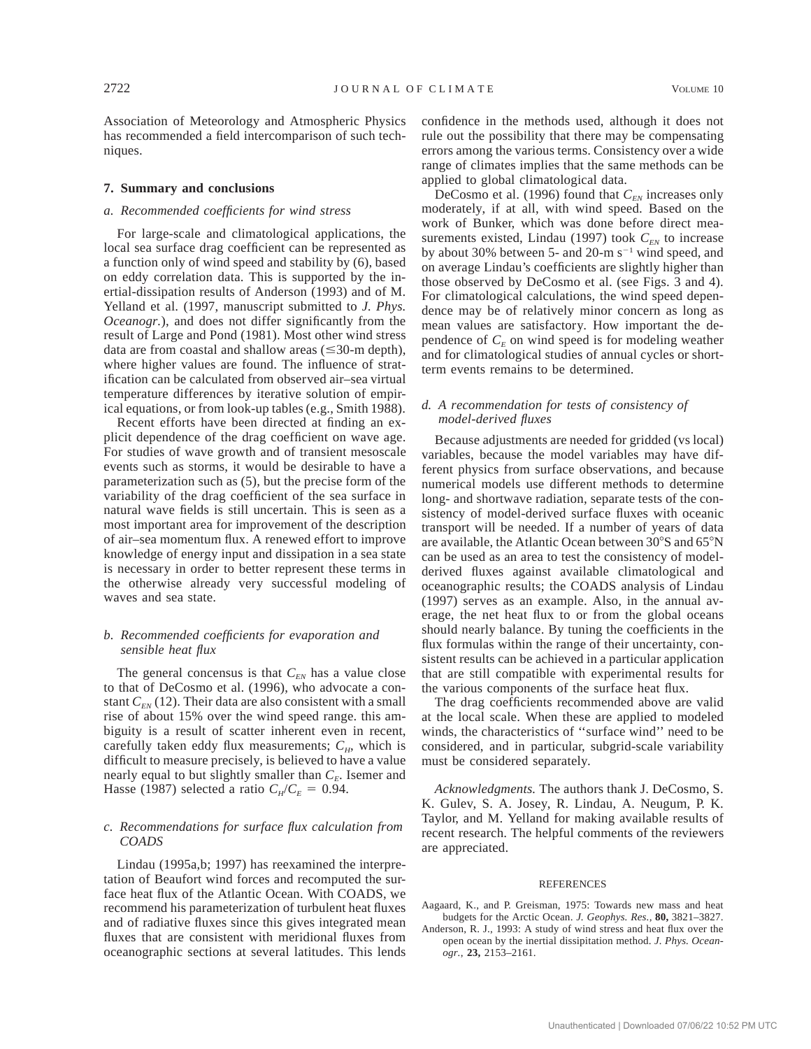Association of Meteorology and Atmospheric Physics has recommended a field intercomparison of such techniques.

### **7. Summary and conclusions**

# *a. Recommended coefficients for wind stress*

For large-scale and climatological applications, the local sea surface drag coefficient can be represented as a function only of wind speed and stability by (6), based on eddy correlation data. This is supported by the inertial-dissipation results of Anderson (1993) and of M. Yelland et al. (1997, manuscript submitted to *J. Phys. Oceanogr.*), and does not differ significantly from the result of Large and Pond (1981). Most other wind stress data are from coastal and shallow areas  $(\leq 30$ -m depth), where higher values are found. The influence of stratification can be calculated from observed air–sea virtual temperature differences by iterative solution of empirical equations, or from look-up tables (e.g., Smith 1988).

Recent efforts have been directed at finding an explicit dependence of the drag coefficient on wave age. For studies of wave growth and of transient mesoscale events such as storms, it would be desirable to have a parameterization such as (5), but the precise form of the variability of the drag coefficient of the sea surface in natural wave fields is still uncertain. This is seen as a most important area for improvement of the description of air–sea momentum flux. A renewed effort to improve knowledge of energy input and dissipation in a sea state is necessary in order to better represent these terms in the otherwise already very successful modeling of waves and sea state.

# *b. Recommended coefficients for evaporation and sensible heat flux*

The general concensus is that  $C_{EN}$  has a value close to that of DeCosmo et al. (1996), who advocate a constant  $C_{EN}$  (12). Their data are also consistent with a small rise of about 15% over the wind speed range. this ambiguity is a result of scatter inherent even in recent, carefully taken eddy flux measurements;  $C_H$ , which is difficult to measure precisely, is believed to have a value nearly equal to but slightly smaller than  $C_F$ . Isemer and Hasse (1987) selected a ratio  $C_H/C_E = 0.94$ .

# *c. Recommendations for surface flux calculation from COADS*

Lindau (1995a,b; 1997) has reexamined the interpretation of Beaufort wind forces and recomputed the surface heat flux of the Atlantic Ocean. With COADS, we recommend his parameterization of turbulent heat fluxes and of radiative fluxes since this gives integrated mean fluxes that are consistent with meridional fluxes from oceanographic sections at several latitudes. This lends

confidence in the methods used, although it does not rule out the possibility that there may be compensating errors among the various terms. Consistency over a wide range of climates implies that the same methods can be applied to global climatological data.

DeCosmo et al. (1996) found that  $C_{EN}$  increases only moderately, if at all, with wind speed. Based on the work of Bunker, which was done before direct measurements existed, Lindau (1997) took  $C_{EN}$  to increase by about 30% between 5- and 20-m  $s^{-1}$  wind speed, and on average Lindau's coefficients are slightly higher than those observed by DeCosmo et al. (see Figs. 3 and 4). For climatological calculations, the wind speed dependence may be of relatively minor concern as long as mean values are satisfactory. How important the dependence of  $C_F$  on wind speed is for modeling weather and for climatological studies of annual cycles or shortterm events remains to be determined.

# *d. A recommendation for tests of consistency of model-derived fluxes*

Because adjustments are needed for gridded (vs local) variables, because the model variables may have different physics from surface observations, and because numerical models use different methods to determine long- and shortwave radiation, separate tests of the consistency of model-derived surface fluxes with oceanic transport will be needed. If a number of years of data are available, the Atlantic Ocean between  $30^{\circ}$ S and  $65^{\circ}$ N can be used as an area to test the consistency of modelderived fluxes against available climatological and oceanographic results; the COADS analysis of Lindau (1997) serves as an example. Also, in the annual average, the net heat flux to or from the global oceans should nearly balance. By tuning the coefficients in the flux formulas within the range of their uncertainty, consistent results can be achieved in a particular application that are still compatible with experimental results for the various components of the surface heat flux.

The drag coefficients recommended above are valid at the local scale. When these are applied to modeled winds, the characteristics of ''surface wind'' need to be considered, and in particular, subgrid-scale variability must be considered separately.

*Acknowledgments.* The authors thank J. DeCosmo, S. K. Gulev, S. A. Josey, R. Lindau, A. Neugum, P. K. Taylor, and M. Yelland for making available results of recent research. The helpful comments of the reviewers are appreciated.

#### **REFERENCES**

- Aagaard, K., and P. Greisman, 1975: Towards new mass and heat budgets for the Arctic Ocean. *J. Geophys. Res.,* **80,** 3821–3827.
- Anderson, R. J., 1993: A study of wind stress and heat flux over the open ocean by the inertial dissipitation method. *J. Phys. Oceanogr.*, **23,** 2153–2161.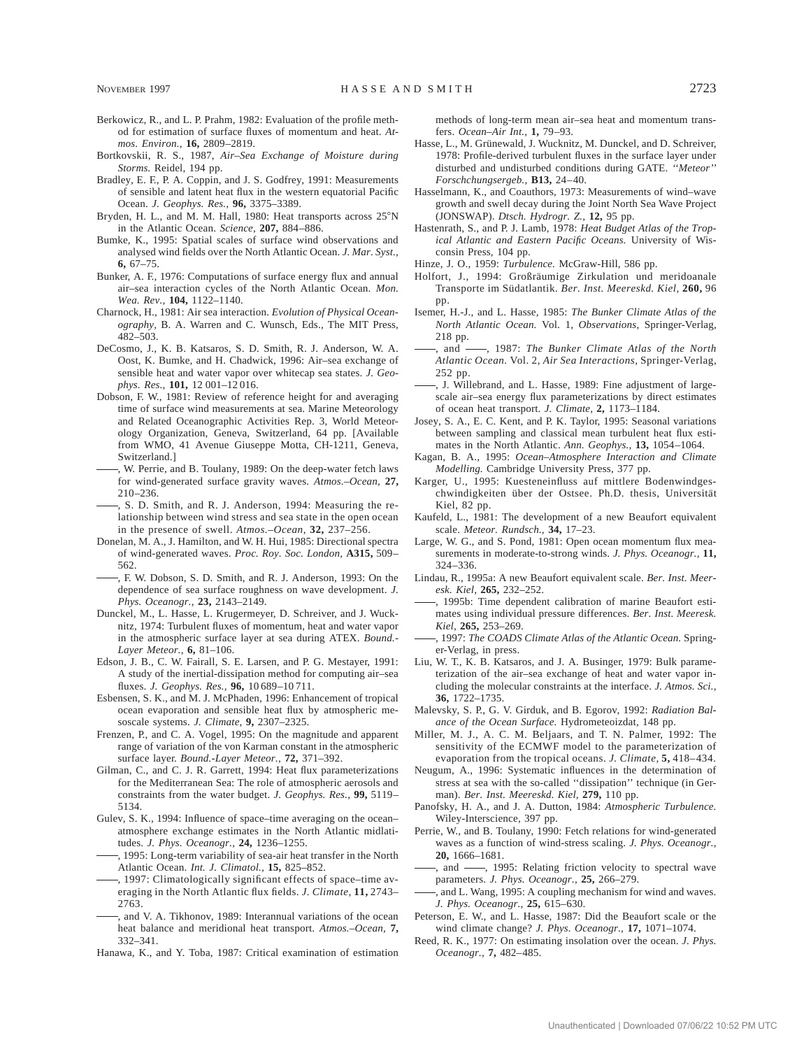- Berkowicz, R., and L. P. Prahm, 1982: Evaluation of the profile method for estimation of surface fluxes of momentum and heat. *Atmos. Environ.,* **16,** 2809–2819.
- Bortkovskii, R. S., 1987, *Air–Sea Exchange of Moisture during Storms.* Reidel, 194 pp.
- Bradley, E. F., P. A. Coppin, and J. S. Godfrey, 1991: Measurements of sensible and latent heat flux in the western equatorial Pacific Ocean. *J. Geophys. Res.,* **96,** 3375–3389.
- Bryden, H. L., and M. M. Hall, 1980: Heat transports across 25°N in the Atlantic Ocean. *Science,* **207,** 884–886.
- Bumke, K., 1995: Spatial scales of surface wind observations and analysed wind fields over the North Atlantic Ocean. *J. Mar. Syst.,* **6,** 67–75.
- Bunker, A. F., 1976: Computations of surface energy flux and annual air–sea interaction cycles of the North Atlantic Ocean. *Mon. Wea. Rev.,* **104,** 1122–1140.
- Charnock, H., 1981: Air sea interaction. *Evolution of Physical Oceanography,* B. A. Warren and C. Wunsch, Eds., The MIT Press, 482–503.
- DeCosmo, J., K. B. Katsaros, S. D. Smith, R. J. Anderson, W. A. Oost, K. Bumke, and H. Chadwick, 1996: Air–sea exchange of sensible heat and water vapor over whitecap sea states. *J. Geophys. Res.,* **101,** 12 001–12 016.
- Dobson, F. W., 1981: Review of reference height for and averaging time of surface wind measurements at sea. Marine Meteorology and Related Oceanographic Activities Rep. 3, World Meteorology Organization, Geneva, Switzerland, 64 pp. [Available from WMO, 41 Avenue Giuseppe Motta, CH-1211, Geneva, Switzerland.]
- , W. Perrie, and B. Toulany, 1989: On the deep-water fetch laws for wind-generated surface gravity waves. *Atmos.–Ocean,* **27,** 210–236.
- , S. D. Smith, and R. J. Anderson, 1994: Measuring the relationship between wind stress and sea state in the open ocean in the presence of swell. *Atmos.–Ocean,* **32,** 237–256.
- Donelan, M. A., J. Hamilton, and W. H. Hui, 1985: Directional spectra of wind-generated waves. *Proc. Roy. Soc. London,* **A315,** 509– 562.
- , F. W. Dobson, S. D. Smith, and R. J. Anderson, 1993: On the dependence of sea surface roughness on wave development. *J. Phys. Oceanogr.,* **23,** 2143–2149.
- Dunckel, M., L. Hasse, L. Krugermeyer, D. Schreiver, and J. Wucknitz, 1974: Turbulent fluxes of momentum, heat and water vapor in the atmospheric surface layer at sea during ATEX. *Bound.- Layer Meteor.,* **6,** 81–106.
- Edson, J. B., C. W. Fairall, S. E. Larsen, and P. G. Mestayer, 1991: A study of the inertial-dissipation method for computing air–sea fluxes. *J. Geophys. Res.,* **96,** 10 689–10 711.
- Esbensen, S. K., and M. J. McPhaden, 1996: Enhancement of tropical ocean evaporation and sensible heat flux by atmospheric mesoscale systems. *J. Climate,* **9,** 2307–2325.
- Frenzen, P., and C. A. Vogel, 1995: On the magnitude and apparent range of variation of the von Karman constant in the atmospheric surface layer. *Bound.-Layer Meteor.,* **72,** 371–392.
- Gilman, C., and C. J. R. Garrett, 1994: Heat flux parameterizations for the Mediterranean Sea: The role of atmospheric aerosols and constraints from the water budget. *J. Geophys. Res.,* **99,** 5119– 5134.
- Gulev, S. K., 1994: Influence of space–time averaging on the ocean– atmosphere exchange estimates in the North Atlantic midlatitudes. *J. Phys. Oceanogr.,* **24,** 1236–1255.
- , 1995: Long-term variability of sea-air heat transfer in the North Atlantic Ocean. *Int. J. Climatol.,* **15,** 825–852.
- , 1997: Climatologically significant effects of space–time averaging in the North Atlantic flux fields. *J. Climate,* **11,** 2743– 2763.
- , and V. A. Tikhonov, 1989: Interannual variations of the ocean heat balance and meridional heat transport. *Atmos.–Ocean,* **7,** 332–341.
- Hanawa, K., and Y. Toba, 1987: Critical examination of estimation

methods of long-term mean air–sea heat and momentum transfers. *Ocean–Air Int.,* **1,** 79–93.

- Hasse, L., M. Grünewald, J. Wucknitz, M. Dunckel, and D. Schreiver, 1978: Profile-derived turbulent fluxes in the surface layer under disturbed and undisturbed conditions during GATE. *''Meteor'' Forschchungsergeb.,* **B13,** 24–40.
- Hasselmann, K., and Coauthors, 1973: Measurements of wind–wave growth and swell decay during the Joint North Sea Wave Project (JONSWAP). *Dtsch. Hydrogr. Z.,* **12,** 95 pp.
- Hastenrath, S., and P. J. Lamb, 1978: *Heat Budget Atlas of the Tropical Atlantic and Eastern Pacific Oceans.* University of Wisconsin Press, 104 pp.
- Hinze, J. O., 1959: *Turbulence.* McGraw-Hill, 586 pp.
- Holfort, J., 1994: Großräumige Zirkulation und meridoanale Transporte im Südatlantik. *Ber. Inst. Meereskd. Kiel*, 260, 96 pp.
- Isemer, H.-J., and L. Hasse, 1985: *The Bunker Climate Atlas of the North Atlantic Ocean.* Vol. 1, *Observations,* Springer-Verlag, 218 pp.
- , and , 1987: *The Bunker Climate Atlas of the North Atlantic Ocean.* Vol. 2, *Air Sea Interactions,* Springer-Verlag, 252 pp.
- , J. Willebrand, and L. Hasse, 1989: Fine adjustment of largescale air–sea energy flux parameterizations by direct estimates of ocean heat transport. *J. Climate,* **2,** 1173–1184.
- Josey, S. A., E. C. Kent, and P. K. Taylor, 1995: Seasonal variations between sampling and classical mean turbulent heat flux estimates in the North Atlantic. *Ann. Geophys.,* **13,** 1054–1064.
- Kagan, B. A., 1995: *Ocean–Atmosphere Interaction and Climate Modelling.* Cambridge University Press, 377 pp.
- Karger, U., 1995: Kuesteneinfluss auf mittlere Bodenwindgeschwindigkeiten über der Ostsee. Ph.D. thesis, Universität Kiel, 82 pp.
- Kaufeld, L., 1981: The development of a new Beaufort equivalent scale. *Meteor. Rundsch.,* **34,** 17–23.
- Large, W. G., and S. Pond, 1981: Open ocean momentum flux measurements in moderate-to-strong winds. *J. Phys. Oceanogr.,* **11,** 324–336.
- Lindau, R., 1995a: A new Beaufort equivalent scale. *Ber. Inst. Meeresk. Kiel,* **265,** 232–252.
- , 1995b: Time dependent calibration of marine Beaufort estimates using individual pressure differences. *Ber. Inst. Meeresk. Kiel,* **265,** 253–269.
- , 1997: *The COADS Climate Atlas of the Atlantic Ocean.* Springer-Verlag, in press.
- Liu, W. T., K. B. Katsaros, and J. A. Businger, 1979: Bulk parameterization of the air–sea exchange of heat and water vapor including the molecular constraints at the interface. *J. Atmos. Sci.,* **36,** 1722–1735.
- Malevsky, S. P., G. V. Girduk, and B. Egorov, 1992: *Radiation Balance of the Ocean Surface.* Hydrometeoizdat, 148 pp.
- Miller, M. J., A. C. M. Beljaars, and T. N. Palmer, 1992: The sensitivity of the ECMWF model to the parameterization of evaporation from the tropical oceans. *J. Climate,* **5,** 418–434.
- Neugum, A., 1996: Systematic influences in the determination of stress at sea with the so-called ''dissipation'' technique (in German). *Ber. Inst. Meereskd. Kiel,* **279,** 110 pp.
- Panofsky, H. A., and J. A. Dutton, 1984: *Atmospheric Turbulence.* Wiley-Interscience, 397 pp.
- Perrie, W., and B. Toulany, 1990: Fetch relations for wind-generated waves as a function of wind-stress scaling. *J. Phys. Oceanogr.,* **20,** 1666–1681.
- and  $\longrightarrow$ , 1995: Relating friction velocity to spectral wave parameters. *J. Phys. Oceanogr.,* **25,** 266–279.
- , and L. Wang, 1995: A coupling mechanism for wind and waves. *J. Phys. Oceanogr.,* **25,** 615–630.
- Peterson, E. W., and L. Hasse, 1987: Did the Beaufort scale or the wind climate change? *J. Phys. Oceanogr.,* **17,** 1071–1074.
- Reed, R. K., 1977: On estimating insolation over the ocean. *J. Phys. Oceanogr.,* **7,** 482–485.